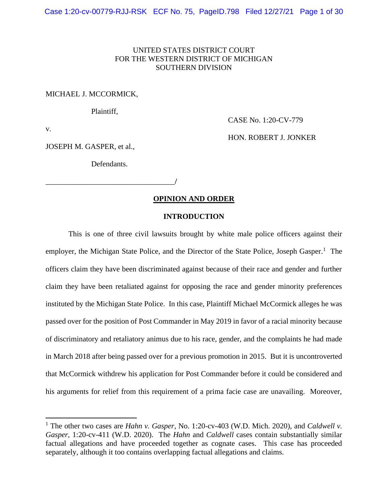# UNITED STATES DISTRICT COURT FOR THE WESTERN DISTRICT OF MICHIGAN SOUTHERN DIVISION

### MICHAEL J. MCCORMICK,

Plaintiff,

CASE No. 1:20-CV-779

HON. ROBERT J. JONKER

v.

JOSEPH M. GASPER, et al.,

Defendants.

\_\_\_\_\_\_\_\_\_\_\_\_\_\_\_\_\_\_\_\_\_\_\_\_\_\_\_\_\_\_\_\_\_\_**/** 

# **OPINION AND ORDER**

# **INTRODUCTION**

 This is one of three civil lawsuits brought by white male police officers against their employer, the Michigan State Police, and the Director of the State Police, Joseph Gasper.<sup>1</sup> The officers claim they have been discriminated against because of their race and gender and further claim they have been retaliated against for opposing the race and gender minority preferences instituted by the Michigan State Police. In this case, Plaintiff Michael McCormick alleges he was in March 2018 after being passed over for a previous promotion in 2015. But it is uncontroverted that McCormick withdrew his application for Post Commander before it could be considered and his arguments for relief from this requirement of a prima facie case are unavailing. Moreover, passed over for the position of Post Commander in May 2019 in favor of a racial minority because of discriminatory and retaliatory animus due to his race, gender, and the complaints he had made

 1 The other two cases are *Hahn v. Gasper*, No. 1:20-cv-403 (W.D. Mich. 2020), and *Caldwell v. Gasper*, 1:20-cv-411 (W.D. 2020). The *Hahn* and *Caldwell* cases contain substantially similar factual allegations and have proceeded together as cognate cases. This case has proceeded separately, although it too contains overlapping factual allegations and claims.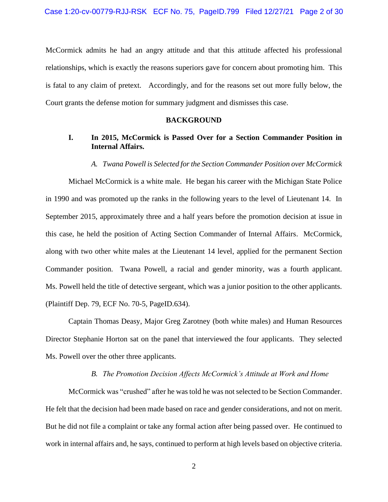is fatal to any claim of pretext. Accordingly, and for the reasons set out more fully below, the McCormick admits he had an angry attitude and that this attitude affected his professional relationships, which is exactly the reasons superiors gave for concern about promoting him. This Court grants the defense motion for summary judgment and dismisses this case.

# **BACKGROUND**

# **I. In 2015, McCormick is Passed Over for a Section Commander Position in Internal Affairs.**

#### *A. Twana Powell is Selected for the Section Commander Position over McCormick*

 Michael McCormick is a white male. He began his career with the Michigan State Police September 2015, approximately three and a half years before the promotion decision at issue in Commander position. Twana Powell, a racial and gender minority, was a fourth applicant. Ms. Powell held the title of detective sergeant, which was a junior position to the other applicants. in 1990 and was promoted up the ranks in the following years to the level of Lieutenant 14. In this case, he held the position of Acting Section Commander of Internal Affairs. McCormick, along with two other white males at the Lieutenant 14 level, applied for the permanent Section (Plaintiff Dep. 79, ECF No. 70-5, PageID.634).

 Director Stephanie Horton sat on the panel that interviewed the four applicants. They selected Captain Thomas Deasy, Major Greg Zarotney (both white males) and Human Resources Ms. Powell over the other three applicants.

# *B. The Promotion Decision Affects McCormick's Attitude at Work and Home*

 McCormick was "crushed" after he was told he was not selected to be Section Commander. He felt that the decision had been made based on race and gender considerations, and not on merit. But he did not file a complaint or take any formal action after being passed over. He continued to work in internal affairs and, he says, continued to perform at high levels based on objective criteria.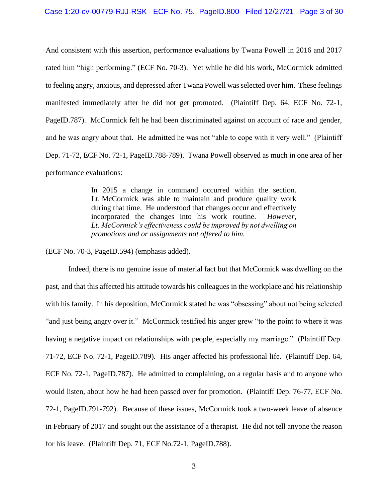And consistent with this assertion, performance evaluations by Twana Powell in 2016 and 2017 rated him "high performing." (ECF No. 70-3). Yet while he did his work, McCormick admitted to feeling angry, anxious, and depressed after Twana Powell was selected over him. These feelings manifested immediately after he did not get promoted. (Plaintiff Dep. 64, ECF No. 72-1, PageID.787). McCormick felt he had been discriminated against on account of race and gender, and he was angry about that. He admitted he was not "able to cope with it very well." (Plaintiff Dep. 71-72, ECF No. 72-1, PageID.788-789). Twana Powell observed as much in one area of her performance evaluations:

> In 2015 a change in command occurred within the section. Lt. McCormick was able to maintain and produce quality work during that time. He understood that changes occur and effectively  *Lt. McCormick's effectiveness could be improved by not dwelling on* incorporated the changes into his work routine. *However, promotions and or assignments not offered to him.*

(ECF No. 70-3, PageID.594) (emphasis added).

 with his family. In his deposition, McCormick stated he was "obsessing" about not being selected "and just being angry over it." McCormick testified his anger grew "to the point to where it was having a negative impact on relationships with people, especially my marriage." (Plaintiff Dep. ECF No. 72-1, PageID.787). He admitted to complaining, on a regular basis and to anyone who would listen, about how he had been passed over for promotion. (Plaintiff Dep. 76-77, ECF No. 72-1, PageID.791-792). Because of these issues, McCormick took a two-week leave of absence in February of 2017 and sought out the assistance of a therapist. He did not tell anyone the reason Indeed, there is no genuine issue of material fact but that McCormick was dwelling on the past, and that this affected his attitude towards his colleagues in the workplace and his relationship 71-72, ECF No. 72-1, PageID.789). His anger affected his professional life. (Plaintiff Dep. 64, for his leave. (Plaintiff Dep. 71, ECF No.72-1, PageID.788).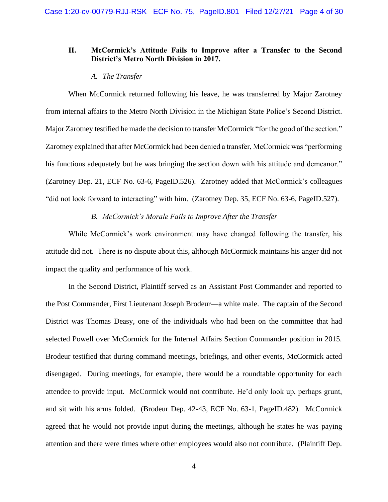# **II. McCormick's Attitude Fails to Improve after a Transfer to the Second District's Metro North Division in 2017.**

## *A. The Transfer*

 from internal affairs to the Metro North Division in the Michigan State Police's Second District. Major Zarotney testified he made the decision to transfer McCormick "for the good of the section." Zarotney explained that after McCormick had been denied a transfer, McCormick was "performing his functions adequately but he was bringing the section down with his attitude and demeanor." (Zarotney Dep. 21, ECF No. 63-6, PageID.526). Zarotney added that McCormick's colleagues When McCormick returned following his leave, he was transferred by Major Zarotney "did not look forward to interacting" with him. (Zarotney Dep. 35, ECF No. 63-6, PageID.527).

# *B. McCormick's Morale Fails to Improve After the Transfer*

 attitude did not. There is no dispute about this, although McCormick maintains his anger did not While McCormick's work environment may have changed following the transfer, his impact the quality and performance of his work.

 In the Second District, Plaintiff served as an Assistant Post Commander and reported to selected Powell over McCormick for the Internal Affairs Section Commander position in 2015. disengaged. During meetings, for example, there would be a roundtable opportunity for each attendee to provide input. McCormick would not contribute. He'd only look up, perhaps grunt, and sit with his arms folded. (Brodeur Dep. 42-43, ECF No. 63-1, PageID.482). McCormick agreed that he would not provide input during the meetings, although he states he was paying attention and there were times where other employees would also not contribute. (Plaintiff Dep. the Post Commander, First Lieutenant Joseph Brodeur—a white male. The captain of the Second District was Thomas Deasy, one of the individuals who had been on the committee that had Brodeur testified that during command meetings, briefings, and other events, McCormick acted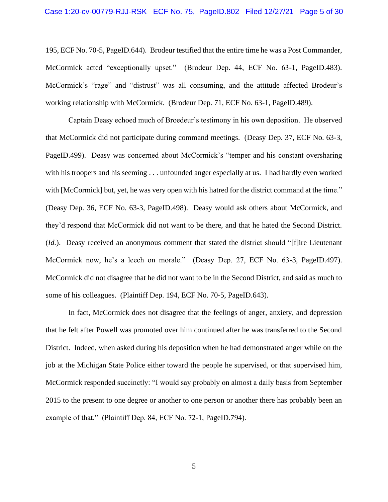195, ECF No. 70-5, PageID.644). Brodeur testified that the entire time he was a Post Commander, McCormick acted "exceptionally upset." (Brodeur Dep. 44, ECF No. 63-1, PageID.483). McCormick's "rage" and "distrust" was all consuming, and the attitude affected Brodeur's McCormick's "rage" and "distrust" was all consuming, and the attitude affected Brodeur's working relationship with McCormick. (Brodeur Dep. 71, ECF No. 63-1, PageID.489).

 that McCormick did not participate during command meetings. (Deasy Dep. 37, ECF No. 63-3, PageID.499). Deasy was concerned about McCormick's "temper and his constant oversharing with his troopers and his seeming . . . unfounded anger especially at us. I had hardly even worked with [McCormick] but, yet, he was very open with his hatred for the district command at the time." they'd respond that McCormick did not want to be there, and that he hated the Second District. (*Id.*). Deasy received an anonymous comment that stated the district should "[f]ire Lieutenant McCormick now, he's a leech on morale." (Deasy Dep. 27, ECF No. 63-3, PageID.497). McCormick did not disagree that he did not want to be in the Second District, and said as much to Captain Deasy echoed much of Broedeur's testimony in his own deposition. He observed (Deasy Dep. 36, ECF No. 63-3, PageID.498). Deasy would ask others about McCormick, and some of his colleagues. (Plaintiff Dep. 194, ECF No. 70-5, PageID.643).

 that he felt after Powell was promoted over him continued after he was transferred to the Second job at the Michigan State Police either toward the people he supervised, or that supervised him, 2015 to the present to one degree or another to one person or another there has probably been an In fact, McCormick does not disagree that the feelings of anger, anxiety, and depression District. Indeed, when asked during his deposition when he had demonstrated anger while on the McCormick responded succinctly: "I would say probably on almost a daily basis from September example of that." (Plaintiff Dep. 84, ECF No. 72-1, PageID.794).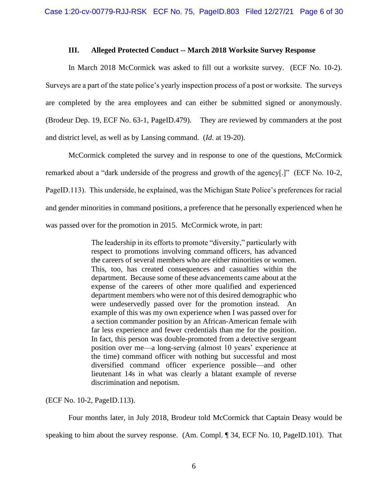## **III. Alleged Protected Conduct -- March 2018 Worksite Survey Response**

 In March 2018 McCormick was asked to fill out a worksite survey. (ECF No. 10-2). Surveys are a part of the state police's yearly inspection process of a post or worksite. The surveys are completed by the area employees and can either be submitted signed or anonymously. (Brodeur Dep. 19, ECF No. 63-1, PageID.479). They are reviewed by commanders at the post and district level, as well as by Lansing command. (*Id.* at 19-20). and district level, as well as by Lansing command. (*Id.* at 19-20).<br>McCormick completed the survey and in response to one of the questions, McCormick

 remarked about a "dark underside of the progress and growth of the agency[.]" (ECF No. 10-2, PageID.113). This underside, he explained, was the Michigan State Police's preferences for racial and gender minorities in command positions, a preference that he personally experienced when he was passed over for the promotion in 2015. McCormick wrote, in part:

> department. Because some of these advancements came about at the expense of the careers of other more qualified and experienced were undeservedly passed over for the promotion instead. An example of this was my own experience when I was passed over for far less experience and fewer credentials than me for the position. In fact, this person was double-promoted from a detective sergeant position over me—a long-serving (almost 10 years' experience at the time) command officer with nothing but successful and most diversified command officer experience possible—and other lieutenant 14s in what was clearly a blatant example of reverse The leadership in its efforts to promote "diversity," particularly with respect to promotions involving command officers, has advanced the careers of several members who are either minorities or women. This, too, has created consequences and casualties within the department members who were not of this desired demographic who a section commander position by an African-American female with discrimination and nepotism.

(ECF No. 10-2, PageID.113).

speaking to him about the survey response. (Am. Compl. ¶ 34, ECF No. 10, PageID.101). That Four months later, in July 2018, Brodeur told McCormick that Captain Deasy would be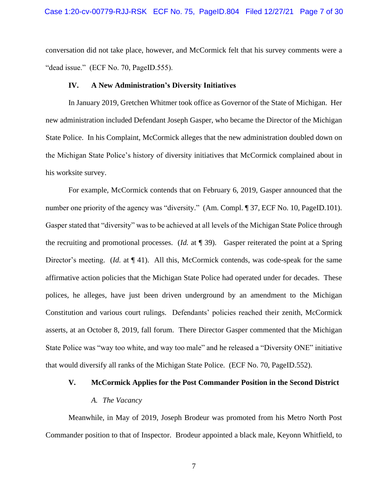conversation did not take place, however, and McCormick felt that his survey comments were a "dead issue." (ECF No. 70, PageID.555).

#### **IV. A New Administration's Diversity Initiatives**

 In January 2019, Gretchen Whitmer took office as Governor of the State of Michigan. Her new administration included Defendant Joseph Gasper, who became the Director of the Michigan State Police. In his Complaint, McCormick alleges that the new administration doubled down on the Michigan State Police's history of diversity initiatives that McCormick complained about in his worksite survey.

number one priority of the agency was "diversity." (Am. Compl. ¶ 37, ECF No. 10, PageID.101). Gasper stated that "diversity" was to be achieved at all levels of the Michigan State Police through the recruiting and promotional processes. (*Id.* at ¶ 39). Gasper reiterated the point at a Spring Director's meeting. (*Id.* at ¶ 41). All this, McCormick contends, was code-speak for the same affirmative action policies that the Michigan State Police had operated under for decades. These polices, he alleges, have just been driven underground by an amendment to the Michigan asserts, at an October 8, 2019, fall forum. There Director Gasper commented that the Michigan For example, McCormick contends that on February 6, 2019, Gasper announced that the Constitution and various court rulings. Defendants' policies reached their zenith, McCormick State Police was "way too white, and way too male" and he released a "Diversity ONE" initiative that would diversify all ranks of the Michigan State Police. (ECF No. 70, PageID.552).

### **V. McCormick Applies for the Post Commander Position in the Second District**

## *A. The Vacancy*

 Commander position to that of Inspector. Brodeur appointed a black male, Keyonn Whitfield, to Meanwhile, in May of 2019, Joseph Brodeur was promoted from his Metro North Post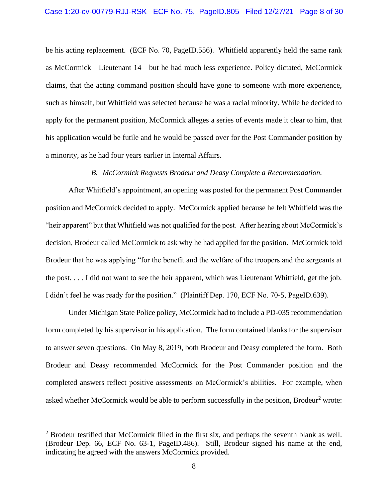be his acting replacement. (ECF No. 70, PageID.556). Whitfield apparently held the same rank claims, that the acting command position should have gone to someone with more experience, such as himself, but Whitfield was selected because he was a racial minority. While he decided to apply for the permanent position, McCormick alleges a series of events made it clear to him, that his application would be futile and he would be passed over for the Post Commander position by as McCormick—Lieutenant 14—but he had much less experience. Policy dictated, McCormick a minority, as he had four years earlier in Internal Affairs.

## *B. McCormick Requests Brodeur and Deasy Complete a Recommendation.*

 "heir apparent" but that Whitfield was not qualified for the post. After hearing about McCormick's decision, Brodeur called McCormick to ask why he had applied for the position. McCormick told the post. . . . I did not want to see the heir apparent, which was Lieutenant Whitfield, get the job. After Whitfield's appointment, an opening was posted for the permanent Post Commander position and McCormick decided to apply. McCormick applied because he felt Whitfield was the Brodeur that he was applying "for the benefit and the welfare of the troopers and the sergeants at I didn't feel he was ready for the position." (Plaintiff Dep. 170, ECF No. 70-5, PageID.639).

 Under Michigan State Police policy, McCormick had to include a PD-035 recommendation form completed by his supervisor in his application. The form contained blanks for the supervisor to answer seven questions. On May 8, 2019, both Brodeur and Deasy completed the form. Both completed answers reflect positive assessments on McCormick's abilities. For example, when asked whether McCormick would be able to perform successfully in the position, Brodeur<sup>2</sup> wrote: Brodeur and Deasy recommended McCormick for the Post Commander position and the

<sup>&</sup>lt;sup>2</sup> Brodeur testified that McCormick filled in the first six, and perhaps the seventh blank as well. (Brodeur Dep. 66, ECF No. 63-1, PageID.486). Still, Brodeur signed his name at the end, (Brodeur Dep. 66, ECF No. 63-1, PageID.486). Still, Brodeur signed his name at the end, indicating he agreed with the answers McCormick provided.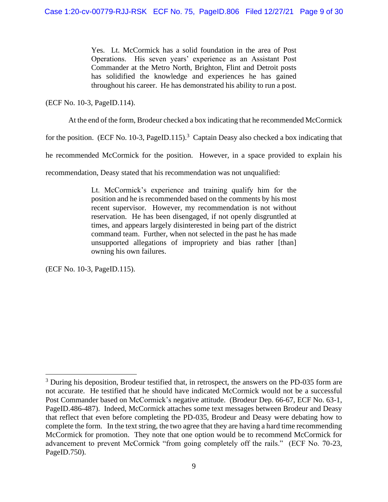Yes. Lt. McCormick has a solid foundation in the area of Post Operations. His seven years' experience as an Assistant Post throughout his career. He has demonstrated his ability to run a post. Commander at the Metro North, Brighton, Flint and Detroit posts has solidified the knowledge and experiences he has gained

(ECF No. 10-3, PageID.114).

At the end of the form, Brodeur checked a box indicating that he recommended McCormick

for the position. (ECF No. 10-3, PageID.115).<sup>3</sup> Captain Deasy also checked a box indicating that

he recommended McCormick for the position. However, in a space provided to explain his

recommendation, Deasy stated that his recommendation was not unqualified:

 Lt. McCormick's experience and training qualify him for the recent supervisor. However, my recommendation is not without reservation. He has been disengaged, if not openly disgruntled at unsupported allegations of impropriety and bias rather [than] position and he is recommended based on the comments by his most times, and appears largely disinterested in being part of the district command team. Further, when not selected in the past he has made owning his own failures.

(ECF No. 10-3, PageID.115).

 not accurate. He testified that he should have indicated McCormick would not be a successful Post Commander based on McCormick's negative attitude. (Brodeur Dep. 66-67, ECF No. 63-1, that reflect that even before completing the PD-035, Brodeur and Deasy were debating how to complete the form. In the text string, the two agree that they are having a hard time recommending McCormick for promotion. They note that one option would be to recommend McCormick for advancement to prevent McCormick "from going completely off the rails." (ECF No. 70-23, <sup>3</sup> During his deposition, Brodeur testified that, in retrospect, the answers on the PD-035 form are PageID.486-487). Indeed, McCormick attaches some text messages between Brodeur and Deasy PageID.750).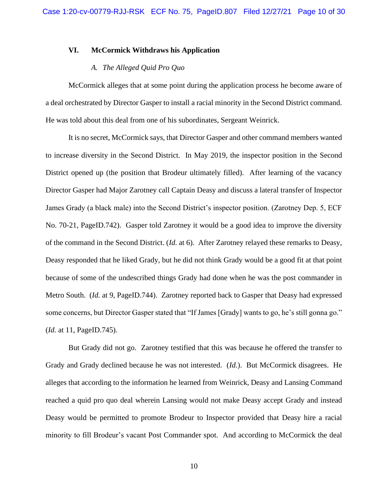# **VI. McCormick Withdraws his Application**

## *A. The Alleged Quid Pro Quo*

 McCormick alleges that at some point during the application process he become aware of a deal orchestrated by Director Gasper to install a racial minority in the Second District command. He was told about this deal from one of his subordinates, Sergeant Weinrick.

 District opened up (the position that Brodeur ultimately filled). After learning of the vacancy James Grady (a black male) into the Second District's inspector position. (Zarotney Dep. 5, ECF No. 70-21, PageID.742). Gasper told Zarotney it would be a good idea to improve the diversity Deasy responded that he liked Grady, but he did not think Grady would be a good fit at that point because of some of the undescribed things Grady had done when he was the post commander in some concerns, but Director Gasper stated that "If James [Grady] wants to go, he's still gonna go." It is no secret, McCormick says, that Director Gasper and other command members wanted to increase diversity in the Second District. In May 2019, the inspector position in the Second Director Gasper had Major Zarotney call Captain Deasy and discuss a lateral transfer of Inspector of the command in the Second District. (*Id.* at 6). After Zarotney relayed these remarks to Deasy, Metro South. (*Id.* at 9, PageID.744). Zarotney reported back to Gasper that Deasy had expressed (*Id.* at 11, PageID.745).

 But Grady did not go. Zarotney testified that this was because he offered the transfer to Grady and Grady declined because he was not interested. (*Id.*). But McCormick disagrees. He alleges that according to the information he learned from Weinrick, Deasy and Lansing Command Deasy would be permitted to promote Brodeur to Inspector provided that Deasy hire a racial minority to fill Brodeur's vacant Post Commander spot. And according to McCormick the deal reached a quid pro quo deal wherein Lansing would not make Deasy accept Grady and instead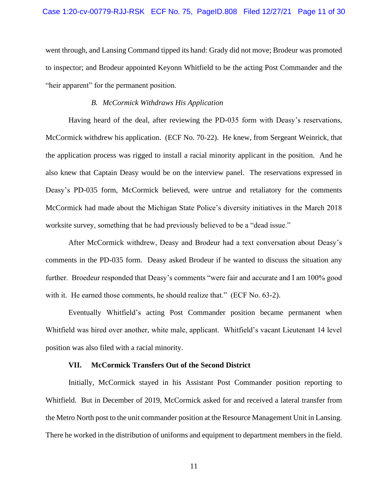went through, and Lansing Command tipped its hand: Grady did not move; Brodeur was promoted to inspector; and Brodeur appointed Keyonn Whitfield to be the acting Post Commander and the "heir apparent" for the permanent position.

# *B. McCormick Withdraws His Application*

 the application process was rigged to install a racial minority applicant in the position. And he also knew that Captain Deasy would be on the interview panel. The reservations expressed in Deasy's PD-035 form, McCormick believed, were untrue and retaliatory for the comments Having heard of the deal, after reviewing the PD-035 form with Deasy's reservations, McCormick withdrew his application. (ECF No. 70-22). He knew, from Sergeant Weinrick, that McCormick had made about the Michigan State Police's diversity initiatives in the March 2018 worksite survey, something that he had previously believed to be a "dead issue."

 After McCormick withdrew, Deasy and Brodeur had a text conversation about Deasy's comments in the PD-035 form. Deasy asked Brodeur if he wanted to discuss the situation any further. Broedeur responded that Deasy's comments "were fair and accurate and I am 100% good with it. He earned those comments, he should realize that." (ECF No. 63-2).

 Whitfield was hired over another, white male, applicant. Whitfield's vacant Lieutenant 14 level Eventually Whitfield's acting Post Commander position became permanent when position was also filed with a racial minority.

## **VII. McCormick Transfers Out of the Second District**

 Whitfield. But in December of 2019, McCormick asked for and received a lateral transfer from the Metro North post to the unit commander position at the Resource Management Unit in Lansing. There he worked in the distribution of uniforms and equipment to department members in the field. Initially, McCormick stayed in his Assistant Post Commander position reporting to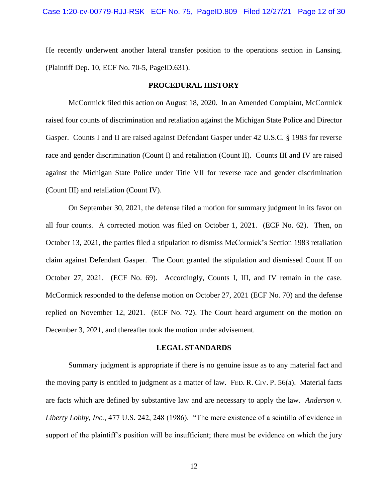He recently underwent another lateral transfer position to the operations section in Lansing. (Plaintiff Dep. 10, ECF No. 70-5, PageID.631).

### **PROCEDURAL HISTORY**

 raised four counts of discrimination and retaliation against the Michigan State Police and Director Gasper. Counts I and II are raised against Defendant Gasper under 42 U.S.C. § 1983 for reverse race and gender discrimination (Count I) and retaliation (Count II). Counts III and IV are raised against the Michigan State Police under Title VII for reverse race and gender discrimination McCormick filed this action on August 18, 2020. In an Amended Complaint, McCormick (Count III) and retaliation (Count IV).

 On September 30, 2021, the defense filed a motion for summary judgment in its favor on all four counts. A corrected motion was filed on October 1, 2021. (ECF No. 62). Then, on claim against Defendant Gasper. The Court granted the stipulation and dismissed Count II on October 27, 2021. (ECF No. 69). Accordingly, Counts I, III, and IV remain in the case. replied on November 12, 2021. (ECF No. 72). The Court heard argument on the motion on October 13, 2021, the parties filed a stipulation to dismiss McCormick's Section 1983 retaliation McCormick responded to the defense motion on October 27, 2021 (ECF No. 70) and the defense December 3, 2021, and thereafter took the motion under advisement.

#### **LEGAL STANDARDS**

 Summary judgment is appropriate if there is no genuine issue as to any material fact and the moving party is entitled to judgment as a matter of law. FED. R. CIV. P. 56(a). Material facts are facts which are defined by substantive law and are necessary to apply the law. *Anderson v. Liberty Lobby, Inc.*, 477 U.S. 242, 248 (1986). "The mere existence of a scintilla of evidence in support of the plaintiff's position will be insufficient; there must be evidence on which the jury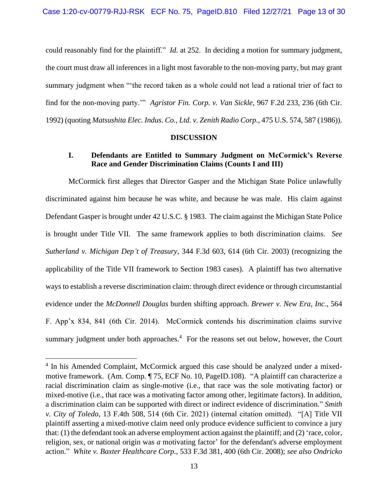could reasonably find for the plaintiff." *Id.* at 252. In deciding a motion for summary judgment, the court must draw all inferences in a light most favorable to the non-moving party, but may grant summary judgment when "'the record taken as a whole could not lead a rational trier of fact to find for the non-moving party.'" *Agristor Fin. Corp. v. Van Sickle*, 967 F.2d 233, 236 (6th Cir. 1992) (quoting *Matsushita Elec. Indus. Co., Ltd. v. Zenith Radio Corp.*, 475 U.S. 574, 587 (1986)).

## **DISCUSSION**

# **I. Defendants are Entitled to Summary Judgment on McCormick's Reverse Race and Gender Discrimination Claims (Counts I and III)**

 McCormick first alleges that Director Gasper and the Michigan State Police unlawfully discriminated against him because he was white, and because he was male. His claim against Defendant Gasper is brought under 42 U.S.C. § 1983. The claim against the Michigan State Police is brought under Title VII. The same framework applies to both discrimination claims. *See*  applicability of the Title VII framework to Section 1983 cases). A plaintiff has two alternative ways to establish a reverse discrimination claim: through direct evidence or through circumstantial  evidence under the *McDonnell Douglas* burden shifting approach. *Brewer v. New Era, Inc.*, 564 F. App'x 834, 841 (6th Cir. 2014). McCormick contends his discrimination claims survive summary judgment under both approaches. $4$  For the reasons set out below, however, the Court *Sutherland v. Michigan Dep't of Treasury*, 344 F.3d 603, 614 (6th Cir. 2003) (recognizing the

<sup>&</sup>lt;sup>4</sup> In his Amended Complaint, McCormick argued this case should be analyzed under a mixed- motive framework. (Am. Comp. ¶ 75, ECF No. 10, PageID.108). "A plaintiff can characterize a racial discrimination claim as single-motive (i.e., that race was the sole motivating factor) or mixed-motive (i.e., that race was a motivating factor among other, legitimate factors). In addition, that: (1) the defendant took an adverse employment action against the plaintiff; and (2) 'race, color, a discrimination claim can be supported with direct or indirect evidence of discrimination." *Smith v. City of Toledo*, 13 F.4th 508, 514 (6th Cir. 2021) (internal citation omitted). "[A] Title VII plaintiff asserting a mixed-motive claim need only produce evidence sufficient to convince a jury religion, sex, or national origin was *a* motivating factor' for the defendant's adverse employment action." *White v. Baxter Healthcare Corp.*, 533 F.3d 381, 400 (6th Cir. 2008); *see also Ondricko*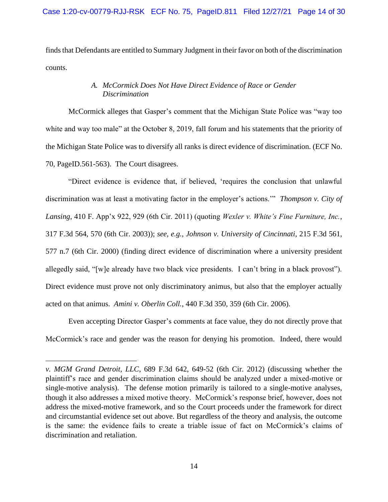finds that Defendants are entitled to Summary Judgment in their favor on both of the discrimination counts.

# *A. McCormick Does Not Have Direct Evidence of Race or Gender Discrimination*

 McCormick alleges that Gasper's comment that the Michigan State Police was "way too white and way too male" at the October 8, 2019, fall forum and his statements that the priority of the Michigan State Police was to diversify all ranks is direct evidence of discrimination. (ECF No. 70, PageID.561-563). The Court disagrees.

 "Direct evidence is evidence that, if believed, 'requires the conclusion that unlawful discrimination was at least a motivating factor in the employer's actions.'" *Thompson v. City of*  577 n.7 (6th Cir. 2000) (finding direct evidence of discrimination where a university president allegedly said, "[w]e already have two black vice presidents. I can't bring in a black provost"). Direct evidence must prove not only discriminatory animus, but also that the employer actually *Lansing*, 410 F. App'x 922, 929 (6th Cir. 2011) (quoting *Wexler v. White's Fine Furniture, Inc.*, 317 F.3d 564, 570 (6th Cir. 2003)); *see, e.g.*, *Johnson v. University of Cincinnati*, 215 F.3d 561, acted on that animus. *Amini v. Oberlin Coll.*, 440 F.3d 350, 359 (6th Cir. 2006).

 McCormick's race and gender was the reason for denying his promotion. Indeed, there would Even accepting Director Gasper's comments at face value, they do not directly prove that

 *v. MGM Grand Detroit, LLC*, 689 F.3d 642, 649-52 (6th Cir. 2012) (discussing whether the plaintiff's race and gender discrimination claims should be analyzed under a mixed-motive or though it also addresses a mixed motive theory. McCormick's response brief, however, does not address the mixed-motive framework, and so the Court proceeds under the framework for direct is the same: the evidence fails to create a triable issue of fact on McCormick's claims of single-motive analysis). The defense motion primarily is tailored to a single-motive analyses, and circumstantial evidence set out above. But regardless of the theory and analysis, the outcome discrimination and retaliation.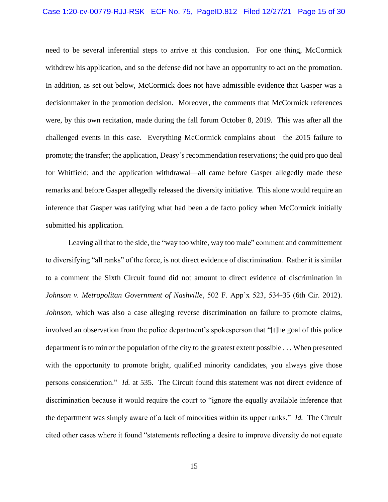## Case 1:20-cv-00779-RJJ-RSK ECF No. 75, PageID.812 Filed 12/27/21 Page 15 of 30

 need to be several inferential steps to arrive at this conclusion. For one thing, McCormick withdrew his application, and so the defense did not have an opportunity to act on the promotion. were, by this own recitation, made during the fall forum October 8, 2019. This was after all the challenged events in this case. Everything McCormick complains about—the 2015 failure to for Whitfield; and the application withdrawal—all came before Gasper allegedly made these remarks and before Gasper allegedly released the diversity initiative. This alone would require an inference that Gasper was ratifying what had been a de facto policy when McCormick initially In addition, as set out below, McCormick does not have admissible evidence that Gasper was a decisionmaker in the promotion decision. Moreover, the comments that McCormick references promote; the transfer; the application, Deasy's recommendation reservations; the quid pro quo deal submitted his application.

 to diversifying "all ranks" of the force, is not direct evidence of discrimination. Rather it is similar to a comment the Sixth Circuit found did not amount to direct evidence of discrimination in *Johnson v. Metropolitan Government of Nashville*, 502 F. App'x 523, 534-35 (6th Cir. 2012). involved an observation from the police department's spokesperson that "[t]he goal of this police department is to mirror the population of the city to the greatest extent possible . . . When presented persons consideration." *Id.* at 535. The Circuit found this statement was not direct evidence of discrimination because it would require the court to "ignore the equally available inference that the department was simply aware of a lack of minorities within its upper ranks." *Id.* The Circuit Leaving all that to the side, the "way too white, way too male" comment and committement *Johnson*, which was also a case alleging reverse discrimination on failure to promote claims, with the opportunity to promote bright, qualified minority candidates, you always give those cited other cases where it found "statements reflecting a desire to improve diversity do not equate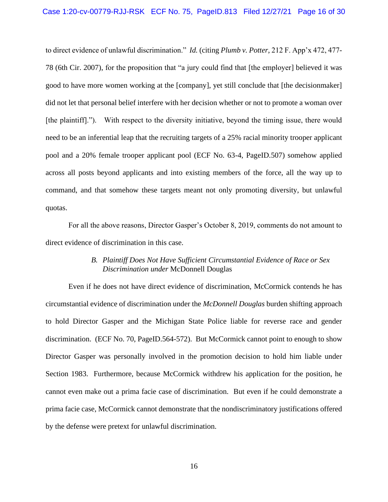78 (6th Cir. 2007), for the proposition that "a jury could find that [the employer] believed it was good to have more women working at the [company], yet still conclude that [the decisionmaker] [the plaintiff]."). With respect to the diversity initiative, beyond the timing issue, there would pool and a 20% female trooper applicant pool (ECF No. 63-4, PageID.507) somehow applied across all posts beyond applicants and into existing members of the force, all the way up to to direct evidence of unlawful discrimination." *Id.* (citing *Plumb v. Potter*, 212 F. App'x 472, 477 did not let that personal belief interfere with her decision whether or not to promote a woman over need to be an inferential leap that the recruiting targets of a 25% racial minority trooper applicant command, and that somehow these targets meant not only promoting diversity, but unlawful quotas.

For all the above reasons, Director Gasper's October 8, 2019, comments do not amount to direct evidence of discrimination in this case.

# *B. Plaintiff Does Not Have Sufficient Circumstantial Evidence of Race or Sex Discrimination under* McDonnell Douglas

 Even if he does not have direct evidence of discrimination, McCormick contends he has to hold Director Gasper and the Michigan State Police liable for reverse race and gender discrimination. (ECF No. 70, PageID.564-572). But McCormick cannot point to enough to show Director Gasper was personally involved in the promotion decision to hold him liable under cannot even make out a prima facie case of discrimination. But even if he could demonstrate a circumstantial evidence of discrimination under the *McDonnell Douglas* burden shifting approach Section 1983. Furthermore, because McCormick withdrew his application for the position, he prima facie case, McCormick cannot demonstrate that the nondiscriminatory justifications offered by the defense were pretext for unlawful discrimination.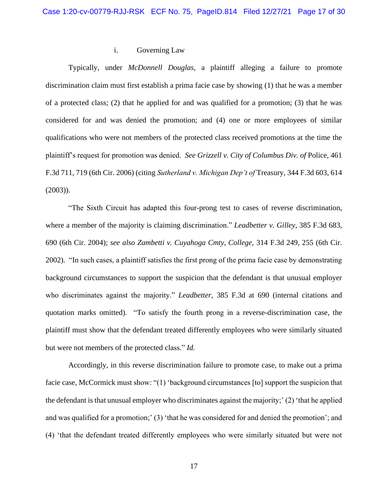## i. Governing Law

 Typically, under *McDonnell Douglas*, a plaintiff alleging a failure to promote discrimination claim must first establish a prima facie case by showing (1) that he was a member of a protected class; (2) that he applied for and was qualified for a promotion; (3) that he was considered for and was denied the promotion; and (4) one or more employees of similar plaintiff's request for promotion was denied. *See Grizzell v. City of Columbus Div. of* Police, 461 qualifications who were not members of the protected class received promotions at the time the F.3d 711, 719 (6th Cir. 2006) (citing *Sutherland v. Michigan Dep't of* Treasury, 344 F.3d 603, 614 (2003)).

 "The Sixth Circuit has adapted this four-prong test to cases of reverse discrimination, where a member of the majority is claiming discrimination." *Leadbetter v. Gilley*, 385 F.3d 683, 2002). "In such cases, a plaintiff satisfies the first prong of the prima facie case by demonstrating quotation marks omitted). "To satisfy the fourth prong in a reverse-discrimination case, the plaintiff must show that the defendant treated differently employees who were similarly situated 690 (6th Cir. 2004); *see also Zambetti v. Cuyahoga Cmty, College,* 314 F.3d 249, 255 (6th Cir. background circumstances to support the suspicion that the defendant is that unusual employer who discriminates against the majority." *Leadbetter*, 385 F.3d at 690 (internal citations and but were not members of the protected class." *Id.* 

 Accordingly, in this reverse discrimination failure to promote case, to make out a prima the defendant is that unusual employer who discriminates against the majority;' (2) 'that he applied and was qualified for a promotion;' (3) 'that he was considered for and denied the promotion'; and facie case, McCormick must show: "(1) 'background circumstances [to] support the suspicion that (4) 'that the defendant treated differently employees who were similarly situated but were not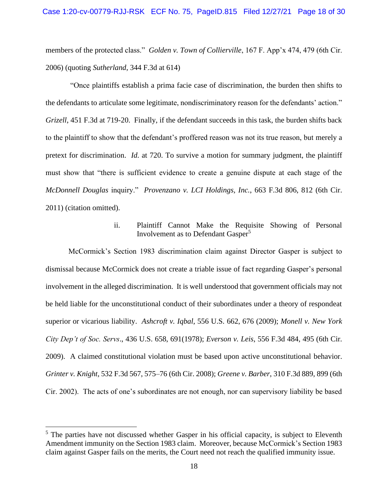members of the protected class." *Golden v. Town of Collierville*, 167 F. App'x 474, 479 (6th Cir. 2006) (quoting *Sutherland*, 344 F.3d at 614)

 "Once plaintiffs establish a prima facie case of discrimination, the burden then shifts to the defendants to articulate some legitimate, nondiscriminatory reason for the defendants' action." to the plaintiff to show that the defendant's proffered reason was not its true reason, but merely a pretext for discrimination. *Id.* at 720. To survive a motion for summary judgment, the plaintiff must show that "there is sufficient evidence to create a genuine dispute at each stage of the *McDonnell Douglas* inquiry." *Provenzano v. LCI Holdings, Inc.*, 663 F.3d 806, 812 (6th Cir. *Grizell*, 451 F.3d at 719-20. Finally, if the defendant succeeds in this task, the burden shifts back 2011) (citation omitted).

# ii. Plaintiff Cannot Make the Requisite Showing of Personal Involvement as to Defendant Gasper<sup>5</sup>

 dismissal because McCormick does not create a triable issue of fact regarding Gasper's personal involvement in the alleged discrimination. It is well understood that government officials may not be held liable for the unconstitutional conduct of their subordinates under a theory of respondeat  superior or vicarious liability. *Ashcroft v. Iqbal*, 556 U.S. 662, 676 (2009); *Monell v. New York*  2009). A claimed constitutional violation must be based upon active unconstitutional behavior. Cir. 2002). The acts of one's subordinates are not enough, nor can supervisory liability be based McCormick's Section 1983 discrimination claim against Director Gasper is subject to *City Dep't of Soc. Servs*., 436 U.S. 658, 691(1978); *Everson v. Leis*, 556 F.3d 484, 495 (6th Cir. *Grinter v. Knight*, 532 F.3d 567, 575–76 (6th Cir. 2008); *Greene v. Barber*, 310 F.3d 889, 899 (6th

 $<sup>5</sup>$  The parties have not discussed whether Gasper in his official capacity, is subject to Eleventh</sup> Amendment immunity on the Section 1983 claim. Moreover, because McCormick's Section 1983 claim against Gasper fails on the merits, the Court need not reach the qualified immunity issue.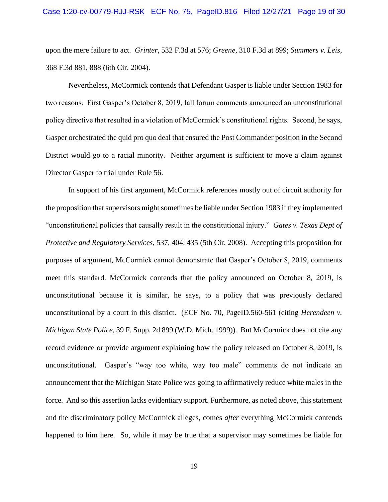upon the mere failure to act. *Grinter*, 532 F.3d at 576; *Greene*, 310 F.3d at 899; *Summers v. Leis*, 368 F.3d 881, 888 (6th Cir. 2004).

 two reasons. First Gasper's October 8, 2019, fall forum comments announced an unconstitutional policy directive that resulted in a violation of McCormick's constitutional rights. Second, he says, District would go to a racial minority. Neither argument is sufficient to move a claim against Nevertheless, McCormick contends that Defendant Gasper is liable under Section 1983 for Gasper orchestrated the quid pro quo deal that ensured the Post Commander position in the Second Director Gasper to trial under Rule 56.

 In support of his first argument, McCormick references mostly out of circuit authority for "unconstitutional policies that causally result in the constitutional injury." *Gates v. Texas Dept of*  meet this standard. McCormick contends that the policy announced on October 8, 2019, is unconstitutional because it is similar, he says, to a policy that was previously declared record evidence or provide argument explaining how the policy released on October 8, 2019, is announcement that the Michigan State Police was going to affirmatively reduce white males in the happened to him here. So, while it may be true that a supervisor may sometimes be liable for the proposition that supervisors might sometimes be liable under Section 1983 if they implemented *Protective and Regulatory Services*, 537, 404, 435 (5th Cir. 2008). Accepting this proposition for purposes of argument, McCormick cannot demonstrate that Gasper's October 8, 2019, comments unconstitutional by a court in this district. (ECF No. 70, PageID.560-561 (citing *Herendeen v. Michigan State Police*, 39 F. Supp. 2d 899 (W.D. Mich. 1999)). But McCormick does not cite any unconstitutional. Gasper's "way too white, way too male" comments do not indicate an force. And so this assertion lacks evidentiary support. Furthermore, as noted above, this statement and the discriminatory policy McCormick alleges, comes *after* everything McCormick contends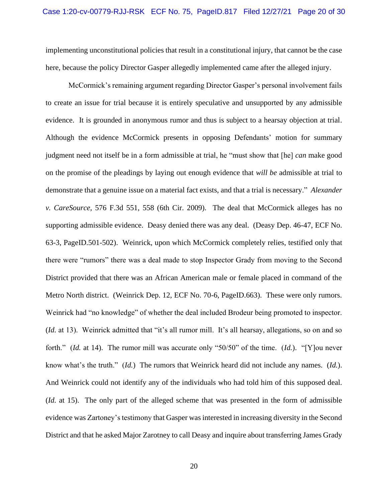implementing unconstitutional policies that result in a constitutional injury, that cannot be the case here, because the policy Director Gasper allegedly implemented came after the alleged injury.

 to create an issue for trial because it is entirely speculative and unsupported by any admissible evidence. It is grounded in anonymous rumor and thus is subject to a hearsay objection at trial. judgment need not itself be in a form admissible at trial, he "must show that [he] *can* make good demonstrate that a genuine issue on a material fact exists, and that a trial is necessary." *Alexander v. CareSource,* 576 F.3d 551, 558 (6th Cir. 2009). The deal that McCormick alleges has no supporting admissible evidence. Deasy denied there was any deal. (Deasy Dep. 46-47, ECF No. there were "rumors" there was a deal made to stop Inspector Grady from moving to the Second District provided that there was an African American male or female placed in command of the Metro North district. (Weinrick Dep. 12, ECF No. 70-6, PageID.663). These were only rumors. Weinrick had "no knowledge" of whether the deal included Brodeur being promoted to inspector. (*Id.* at 13). Weinrick admitted that "it's all rumor mill. It's all hearsay, allegations, so on and so forth." (*Id.* at 14). The rumor mill was accurate only "50/50" of the time. (*Id.*). "[Y]ou never know what's the truth." (*Id.*) The rumors that Weinrick heard did not include any names. (*Id.*). (*Id.* at 15). The only part of the alleged scheme that was presented in the form of admissible McCormick's remaining argument regarding Director Gasper's personal involvement fails Although the evidence McCormick presents in opposing Defendants' motion for summary on the promise of the pleadings by laying out enough evidence that *will be* admissible at trial to 63-3, PageID.501-502). Weinrick, upon which McCormick completely relies, testified only that And Weinrick could not identify any of the individuals who had told him of this supposed deal. evidence was Zartoney's testimony that Gasper was interested in increasing diversity in the Second District and that he asked Major Zarotney to call Deasy and inquire about transferring James Grady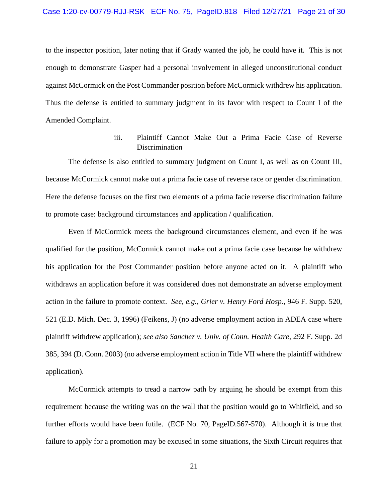to the inspector position, later noting that if Grady wanted the job, he could have it. This is not enough to demonstrate Gasper had a personal involvement in alleged unconstitutional conduct against McCormick on the Post Commander position before McCormick with drew his application. against McCormick on the Post Commander position before McCormick withdrew his application. Thus the defense is entitled to summary judgment in its favor with respect to Count I of the Amended Complaint.

# iii. Plaintiff Cannot Make Out a Prima Facie Case of Reverse Discrimination

The defense is also entitled to summary judgment on Count I, as well as on Count III, Here the defense focuses on the first two elements of a prima facie reverse discrimination failure because McCormick cannot make out a prima facie case of reverse race or gender discrimination. to promote case: background circumstances and application / qualification.

 qualified for the position, McCormick cannot make out a prima facie case because he withdrew his application for the Post Commander position before anyone acted on it. A plaintiff who withdraws an application before it was considered does not demonstrate an adverse employment action in the failure to promote context. *See, e.g.*, *Grier v. Henry Ford Hosp.*, 946 F. Supp. 520, 521 (E.D. Mich. Dec. 3, 1996) (Feikens, J) (no adverse employment action in ADEA case where 385, 394 (D. Conn. 2003) (no adverse employment action in Title VII where the plaintiff withdrew Even if McCormick meets the background circumstances element, and even if he was plaintiff withdrew application); *see also Sanchez v. Univ. of Conn. Health Care*, 292 F. Supp. 2d application).

 McCormick attempts to tread a narrow path by arguing he should be exempt from this further efforts would have been futile. (ECF No. 70, PageID.567-570). Although it is true that requirement because the writing was on the wall that the position would go to Whitfield, and so failure to apply for a promotion may be excused in some situations, the Sixth Circuit requires that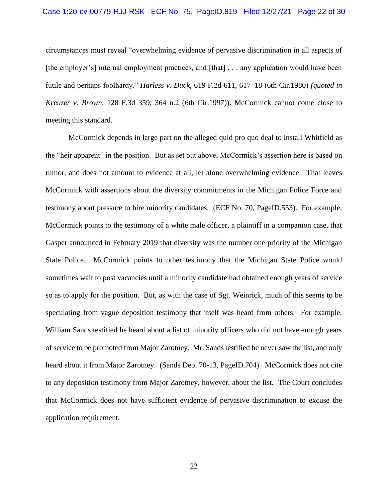## Case 1:20-cv-00779-RJJ-RSK ECF No. 75, PageID.819 Filed 12/27/21 Page 22 of 30

 circumstances must reveal "overwhelming evidence of pervasive discrimination in all aspects of [the employer's] internal employment practices, and [that] . . . any application would have been futile and perhaps foolhardy." *Harless v. Duck,* 619 F.2d 611, 617–18 (6th Cir.1980) *(quoted in Kreuzer v. Brown,* 128 F.3d 359, 364 n.2 (6th Cir.1997)). McCormick cannot come close to meeting this standard.

 McCormick depends in large part on the alleged quid pro quo deal to install Whitfield as the "heir apparent" in the position. But as set out above, McCormick's assertion here is based on McCormick with assertions about the diversity commitments in the Michigan Police Force and testimony about pressure to hire minority candidates. (ECF No. 70, PageID.553). For example, McCormick points to the testimony of a white male officer, a plaintiff in a companion case, that Gasper announced in February 2019 that diversity was the number one priority of the Michigan State Police. McCormick points to other testimony that the Michigan State Police would so as to apply for the position. But, as with the case of Sgt. Weinrick, much of this seems to be William Sands testified he heard about a list of minority officers who did not have enough years of service to be promoted from Major Zarotney. Mr. Sands testified he never saw the list, and only heard about it from Major Zarotney. (Sands Dep. 70-13, PageID.704). McCormick does not cite to any deposition testimony from Major Zarotney, however, about the list. The Court concludes rumor, and does not amount to evidence at all, let alone overwhelming evidence. That leaves sometimes wait to post vacancies until a minority candidate had obtained enough years of service speculating from vague deposition testimony that itself was heard from others. For example, that McCormick does not have sufficient evidence of pervasive discrimination to excuse the application requirement.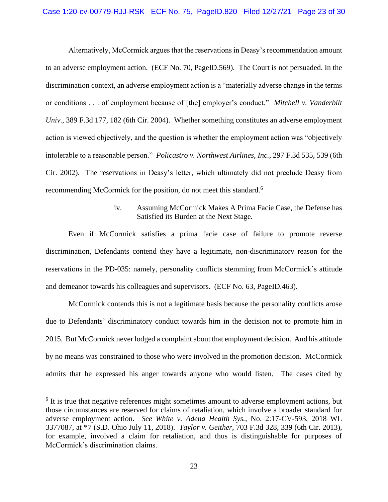## Case 1:20-cv-00779-RJJ-RSK ECF No. 75, PageID.820 Filed 12/27/21 Page 23 of 30

 discrimination context, an adverse employment action is a "materially adverse change in the terms or conditions . . . of employment because of [the] employer's conduct." *Mitchell v. Vanderbilt Univ.*, 389 F.3d 177, 182 (6th Cir. 2004). Whether something constitutes an adverse employment intolerable to a reasonable person." *Policastro v. Northwest Airlines, Inc.*, 297 F.3d 535, 539 (6th Cir. 2002). The reservations in Deasy's letter, which ultimately did not preclude Deasy from recommending McCormick for the position, do not meet this standard.<sup>6</sup> Alternatively, McCormick argues that the reservations in Deasy's recommendation amount to an adverse employment action. (ECF No. 70, PageID.569). The Court is not persuaded. In the action is viewed objectively, and the question is whether the employment action was "objectively

# iv. Assuming McCormick Makes A Prima Facie Case, the Defense has Satisfied its Burden at the Next Stage.

 Even if McCormick satisfies a prima facie case of failure to promote reverse discrimination, Defendants contend they have a legitimate, non-discriminatory reason for the reservations in the PD-035: namely, personality conflicts stemming from McCormick's attitude and demeanor towards his colleagues and supervisors. (ECF No. 63, PageID.463).

 McCormick contends this is not a legitimate basis because the personality conflicts arose due to Defendants' discriminatory conduct towards him in the decision not to promote him in 2015. But McCormick never lodged a complaint about that employment decision. And his attitude by no means was constrained to those who were involved in the promotion decision. McCormick admits that he expressed his anger towards anyone who would listen. The cases cited by

 $6$  It is true that negative references might sometimes amount to adverse employment actions, but those circumstances are reserved for claims of retaliation, which involve a broader standard for 3377087, at \*7 (S.D. Ohio July 11, 2018). *Taylor v. Geither*, 703 F.3d 328, 339 (6th Cir. 2013), adverse employment action. *See White v. Adena Health Sys.*, No. 2:17-CV-593, 2018 WL for example, involved a claim for retaliation, and thus is distinguishable for purposes of McCormick's discrimination claims.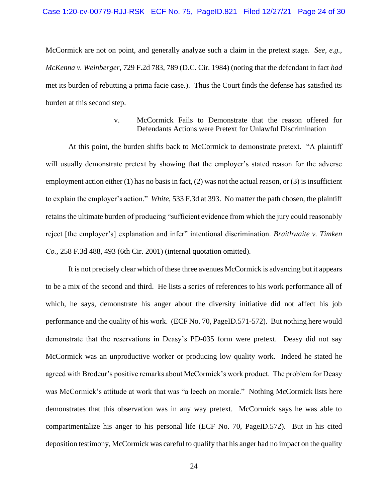McCormick are not on point, and generally analyze such a claim in the pretext stage. *See, e.g., McKenna v. Weinberger*, 729 F.2d 783, 789 (D.C. Cir. 1984) (noting that the defendant in fact *had*  met its burden of rebutting a prima facie case.). Thus the Court finds the defense has satisfied its burden at this second step.

# v. McCormick Fails to Demonstrate that the reason offered for Defendants Actions were Pretext for Unlawful Discrimination

 At this point, the burden shifts back to McCormick to demonstrate pretext. "A plaintiff will usually demonstrate pretext by showing that the employer's stated reason for the adverse employment action either (1) has no basis in fact, (2) was not the actual reason, or (3) is insufficient to explain the employer's action." *White*, 533 F.3d at 393. No matter the path chosen, the plaintiff reject [the employer's] explanation and infer" intentional discrimination. *Braithwaite v. Timken* Co., 258 F.3d 488, 493 (6th Cir. 2001) (internal quotation omitted). retains the ultimate burden of producing "sufficient evidence from which the jury could reasonably

 *Co.*, 258 F.3d 488, 493 (6th Cir. 2001) (internal quotation omitted). It is not precisely clear which of these three avenues McCormick is advancing but it appears to be a mix of the second and third. He lists a series of references to his work performance all of which, he says, demonstrate his anger about the diversity initiative did not affect his job performance and the quality of his work. (ECF No. 70, PageID.571-572). But nothing here would demonstrate that the reservations in Deasy's PD-035 form were pretext. Deasy did not say McCormick was an unproductive worker or producing low quality work. Indeed he stated he agreed with Brodeur's positive remarks about McCormick's work product. The problem for Deasy was McCormick's attitude at work that was "a leech on morale." Nothing McCormick lists here demonstrates that this observation was in any way pretext. McCormick says he was able to compartmentalize his anger to his personal life (ECF No. 70, PageID.572). But in his cited deposition testimony, McCormick was careful to qualify that his anger had no impact on the quality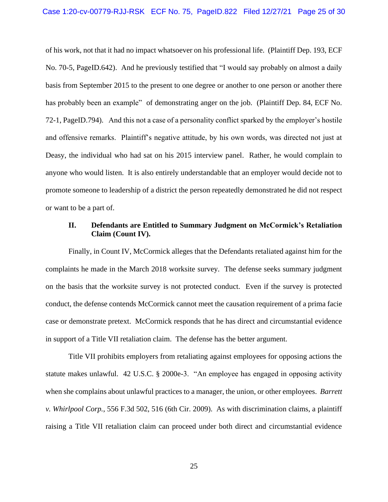of his work, not that it had no impact whatsoever on his professional life. (Plaintiff Dep. 193, ECF No. 70-5, PageID.642). And he previously testified that "I would say probably on almost a daily basis from September 2015 to the present to one degree or another to one person or another there has probably been an example" of demonstrating anger on the job. (Plaintiff Dep. 84, ECF No. 72-1, PageID.794). And this not a case of a personality conflict sparked by the employer's hostile anyone who would listen. It is also entirely understandable that an employer would decide not to promote someone to leadership of a district the person repeatedly demonstrated he did not respect and offensive remarks. Plaintiff's negative attitude, by his own words, was directed not just at Deasy, the individual who had sat on his 2015 interview panel. Rather, he would complain to or want to be a part of.

# **II. Defendants are Entitled to Summary Judgment on McCormick's Retaliation Claim (Count IV).**

 Finally, in Count IV, McCormick alleges that the Defendants retaliated against him for the complaints he made in the March 2018 worksite survey. The defense seeks summary judgment conduct, the defense contends McCormick cannot meet the causation requirement of a prima facie case or demonstrate pretext. McCormick responds that he has direct and circumstantial evidence on the basis that the worksite survey is not protected conduct. Even if the survey is protected in support of a Title VII retaliation claim. The defense has the better argument.

 Title VII prohibits employers from retaliating against employees for opposing actions the when she complains about unlawful practices to a manager, the union, or other employees. *Barrett v. Whirlpool Corp.*, 556 F.3d 502, 516 (6th Cir. 2009). As with discrimination claims, a plaintiff raising a Title VII retaliation claim can proceed under both direct and circumstantial evidence statute makes unlawful. 42 U.S.C. § 2000e-3. "An employee has engaged in opposing activity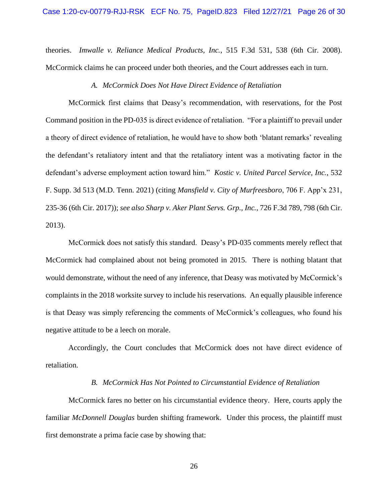theories. *Imwalle v. Reliance Medical Products, Inc.*, 515 F.3d 531, 538 (6th Cir. 2008). McCormick claims he can proceed under both theories, and the Court addresses each in turn.

## *A. McCormick Does Not Have Direct Evidence of Retaliation*

 McCormick first claims that Deasy's recommendation, with reservations, for the Post Command position in the PD-035 is direct evidence of retaliation. "For a plaintiff to prevail under a theory of direct evidence of retaliation, he would have to show both 'blatant remarks' revealing the defendant's retaliatory intent and that the retaliatory intent was a motivating factor in the defendant's adverse employment action toward him." *Kostic v. United Parcel Service, Inc.*, 532 F. Supp. 3d 513 (M.D. Tenn. 2021) (citing *Mansfield v. City of Murfreesboro*, 706 F. App'x 231, 235-36 (6th Cir. 2017)); *see also Sharp v. Aker Plant Servs. Grp., Inc.*, 726 F.3d 789, 798 (6th Cir. 2013).

 McCormick had complained about not being promoted in 2015. There is nothing blatant that complaints in the 2018 worksite survey to include his reservations. An equally plausible inference is that Deasy was simply referencing the comments of McCormick's colleagues, who found his McCormick does not satisfy this standard. Deasy's PD-035 comments merely reflect that would demonstrate, without the need of any inference, that Deasy was motivated by McCormick's negative attitude to be a leech on morale.

 Accordingly, the Court concludes that McCormick does not have direct evidence of retaliation.

### *B. McCormick Has Not Pointed to Circumstantial Evidence of Retaliation*

 McCormick fares no better on his circumstantial evidence theory. Here, courts apply the familiar *McDonnell Douglas* burden shifting framework. Under this process, the plaintiff must first demonstrate a prima facie case by showing that: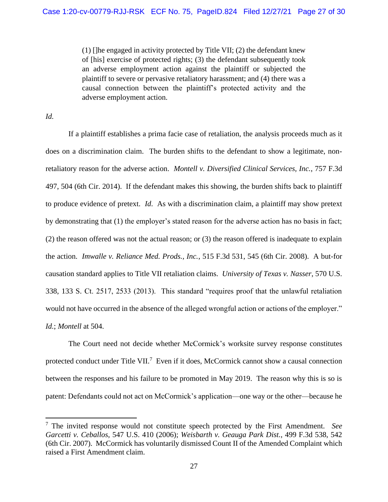(1) []he engaged in activity protected by Title VII; (2) the defendant knew of [his] exercise of protected rights; (3) the defendant subsequently took plaintiff to severe or pervasive retaliatory harassment; and (4) there was a an adverse employment action against the plaintiff or subjected the causal connection between the plaintiff's protected activity and the adverse employment action.

*Id.* 

 If a plaintiff establishes a prima facie case of retaliation, the analysis proceeds much as it does on a discrimination claim. The burden shifts to the defendant to show a legitimate, non- retaliatory reason for the adverse action. *Montell v. Diversified Clinical Services, Inc.*, 757 F.3d 497, 504 (6th Cir. 2014). If the defendant makes this showing, the burden shifts back to plaintiff to produce evidence of pretext. *Id*. As with a discrimination claim, a plaintiff may show pretext by demonstrating that (1) the employer's stated reason for the adverse action has no basis in fact; (2) the reason offered was not the actual reason; or (3) the reason offered is inadequate to explain  the action. *Imwalle v. Reliance Med. Prods., Inc.*, 515 F.3d 531, 545 (6th Cir. 2008). A but-for would not have occurred in the absence of the alleged wrongful action or actions of the employer." causation standard applies to Title VII retaliation claims. *University of Texas v. Nasser*, 570 U.S. 338, 133 S. Ct. 2517, 2533 (2013). This standard "requires proof that the unlawful retaliation *Id.*; *Montell* at 504.

protected conduct under Title VII.<sup>7</sup> Even if it does, McCormick cannot show a causal connection between the responses and his failure to be promoted in May 2019. The reason why this is so is patent: Defendants could not act on McCormick's application—one way or the other—because he The Court need not decide whether McCormick's worksite survey response constitutes

 (6th Cir. 2007). McCormick has voluntarily dismissed Count II of the Amended Complaint which 7 The invited response would not constitute speech protected by the First Amendment. *See Garcetti v. Ceballos*, 547 U.S. 410 (2006); *Weisbarth v. Geauga Park Dist.*, 499 F.3d 538, 542 raised a First Amendment claim.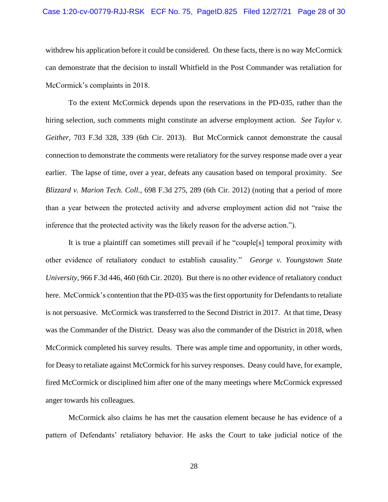## Case 1:20-cv-00779-RJJ-RSK ECF No. 75, PageID.825 Filed 12/27/21 Page 28 of 30

 withdrew his application before it could be considered. On these facts, there is no way McCormick can demonstrate that the decision to install Whitfield in the Post Commander was retaliation for McCormick's complaints in 2018.

 To the extent McCormick depends upon the reservations in the PD-035, rather than the hiring selection, such comments might constitute an adverse employment action. *See Taylor v.*  connection to demonstrate the comments were retaliatory for the survey response made over a year earlier. The lapse of time, over a year, defeats any causation based on temporal proximity. *See*  than a year between the protected activity and adverse employment action did not "raise the *Geither*, 703 F.3d 328, 339 (6th Cir. 2013). But McCormick cannot demonstrate the causal *Blizzard v. Marion Tech. Coll.*, 698 F.3d 275, 289 (6th Cir. 2012) (noting that a period of more inference that the protected activity was the likely reason for the adverse action.").

 It is true a plaintiff can sometimes still prevail if he "couple[s] temporal proximity with other evidence of retaliatory conduct to establish causality." *George v. Youngstown State University*, 966 F.3d 446, 460 (6th Cir. 2020). But there is no other evidence of retaliatory conduct was the Commander of the District. Deasy was also the commander of the District in 2018, when McCormick completed his survey results. There was ample time and opportunity, in other words, fired McCormick or disciplined him after one of the many meetings where McCormick expressed here. McCormick's contention that the PD-035 was the first opportunity for Defendants to retaliate is not persuasive. McCormick was transferred to the Second District in 2017. At that time, Deasy for Deasy to retaliate against McCormick for his survey responses. Deasy could have, for example, anger towards his colleagues.

 McCormick also claims he has met the causation element because he has evidence of a pattern of Defendants' retaliatory behavior. He asks the Court to take judicial notice of the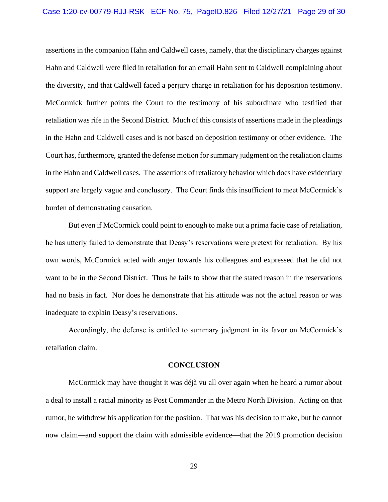### Case 1:20-cv-00779-RJJ-RSK ECF No. 75, PageID.826 Filed 12/27/21 Page 29 of 30

 Hahn and Caldwell were filed in retaliation for an email Hahn sent to Caldwell complaining about the diversity, and that Caldwell faced a perjury charge in retaliation for his deposition testimony. retaliation was rife in the Second District. Much of this consists of assertions made in the pleadings in the Hahn and Caldwell cases and is not based on deposition testimony or other evidence. The Court has, furthermore, granted the defense motion for summary judgment on the retaliation claims in the Hahn and Caldwell cases. The assertions of retaliatory behavior which does have evidentiary support are largely vague and conclusory. The Court finds this insufficient to meet McCormick's assertions in the companion Hahn and Caldwell cases, namely, that the disciplinary charges against McCormick further points the Court to the testimony of his subordinate who testified that burden of demonstrating causation.

 But even if McCormick could point to enough to make out a prima facie case of retaliation, he has utterly failed to demonstrate that Deasy's reservations were pretext for retaliation. By his own words, McCormick acted with anger towards his colleagues and expressed that he did not want to be in the Second District. Thus he fails to show that the stated reason in the reservations had no basis in fact. Nor does he demonstrate that his attitude was not the actual reason or was inadequate to explain Deasy's reservations.

Accordingly, the defense is entitled to summary judgment in its favor on McCormick's retaliation claim.

#### **CONCLUSION**

 McCormick may have thought it was déjà vu all over again when he heard a rumor about a deal to install a racial minority as Post Commander in the Metro North Division. Acting on that rumor, he withdrew his application for the position. That was his decision to make, but he cannot now claim—and support the claim with admissible evidence—that the 2019 promotion decision